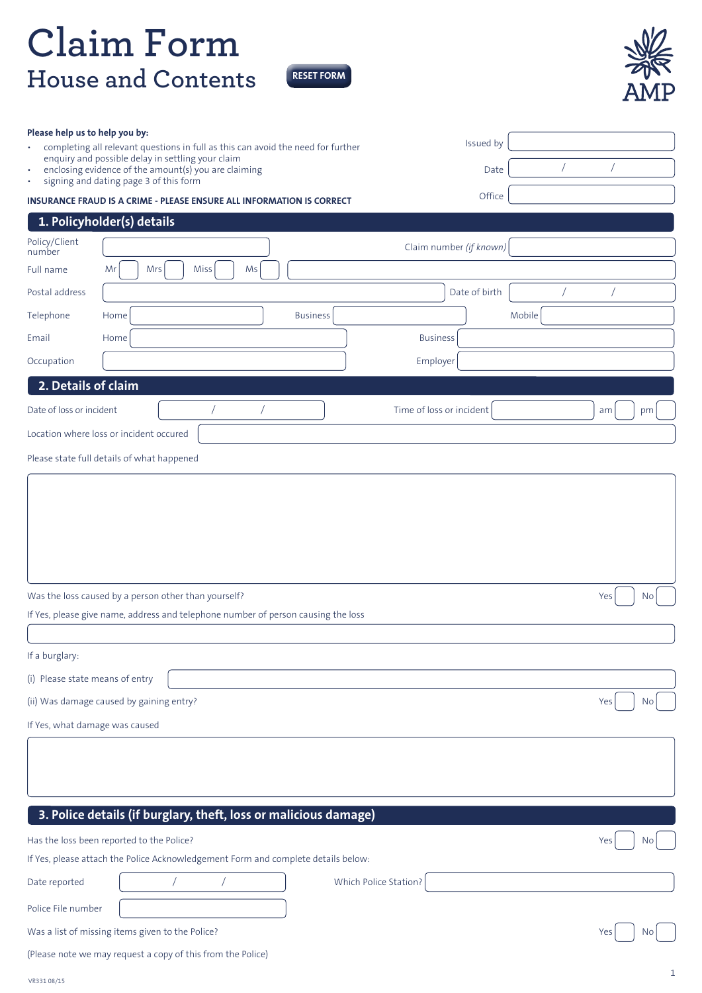## **Claim Form House and Contents**

**RESET FORM**



| Please help us to help you by:                                                      |                                                                                                                                                                                       |                          |                               |
|-------------------------------------------------------------------------------------|---------------------------------------------------------------------------------------------------------------------------------------------------------------------------------------|--------------------------|-------------------------------|
| $\bullet$                                                                           | completing all relevant questions in full as this can avoid the need for further<br>enquiry and possible delay in settling your claim                                                 | Issued by                |                               |
| $\bullet$<br>$\bullet$                                                              | enclosing evidence of the amount(s) you are claiming<br>signing and dating page 3 of this form                                                                                        | Date                     |                               |
|                                                                                     | <b>INSURANCE FRAUD IS A CRIME - PLEASE ENSURE ALL INFORMATION IS CORRECT</b>                                                                                                          | Office                   |                               |
|                                                                                     | 1. Policyholder(s) details                                                                                                                                                            |                          |                               |
| Policy/Client<br>number                                                             |                                                                                                                                                                                       | Claim number (if known)  |                               |
| Full name                                                                           | Mrs<br>Miss<br>Mr<br>Ms                                                                                                                                                               |                          |                               |
| Postal address                                                                      |                                                                                                                                                                                       | Date of birth            |                               |
| Telephone                                                                           | <b>Business</b><br>Home                                                                                                                                                               |                          | Mobile                        |
| Email                                                                               | Home                                                                                                                                                                                  | <b>Business</b>          |                               |
| Occupation                                                                          |                                                                                                                                                                                       | Employer                 |                               |
| 2. Details of claim                                                                 |                                                                                                                                                                                       |                          |                               |
| Date of loss or incident                                                            |                                                                                                                                                                                       | Time of loss or incident | am<br>pm                      |
|                                                                                     | Location where loss or incident occured                                                                                                                                               |                          |                               |
|                                                                                     | Please state full details of what happened                                                                                                                                            |                          |                               |
| If a burglary:<br>(i) Please state means of entry<br>If Yes, what damage was caused | Was the loss caused by a person other than yourself?<br>If Yes, please give name, address and telephone number of person causing the loss<br>(ii) Was damage caused by gaining entry? |                          | Yes<br><b>No</b><br>Yes<br>No |
|                                                                                     | 3. Police details (if burglary, theft, loss or malicious damage)                                                                                                                      |                          |                               |
|                                                                                     | Has the loss been reported to the Police?                                                                                                                                             |                          | Yes<br>No.                    |
|                                                                                     | If Yes, please attach the Police Acknowledgement Form and complete details below:                                                                                                     |                          |                               |
| Date reported                                                                       |                                                                                                                                                                                       | Which Police Station?    |                               |
| Police File number                                                                  |                                                                                                                                                                                       |                          |                               |
|                                                                                     | Was a list of missing items given to the Police?                                                                                                                                      |                          | Yes<br>No.                    |
|                                                                                     | (Please note we may request a copy of this from the Police)                                                                                                                           |                          |                               |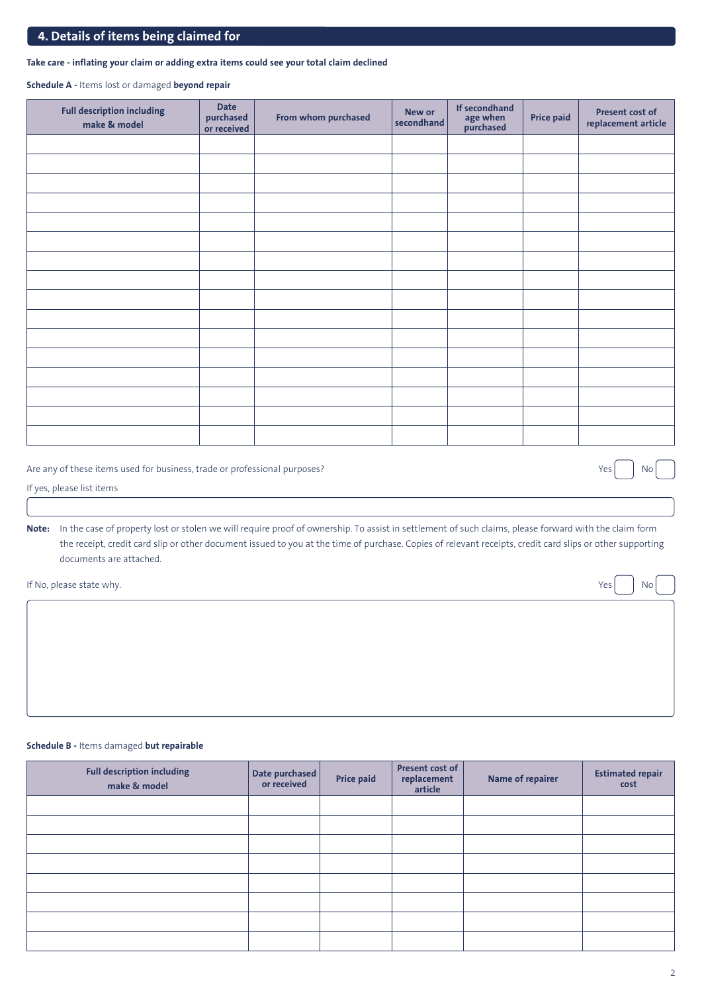## **4. Details of items being claimed for**

## **Take care - inflating your claim or adding extra items could see your total claim declined**

**Schedule A -** Items lost or damaged **beyond repair**

| <b>Full description including</b><br>make & model | <b>Date</b><br>purchased<br>or received | From whom purchased | If secondhand<br>New or<br>age when<br>purchased<br>secondhand |  | <b>Price paid</b> | Present cost of<br>replacement article |  |
|---------------------------------------------------|-----------------------------------------|---------------------|----------------------------------------------------------------|--|-------------------|----------------------------------------|--|
|                                                   |                                         |                     |                                                                |  |                   |                                        |  |
|                                                   |                                         |                     |                                                                |  |                   |                                        |  |
|                                                   |                                         |                     |                                                                |  |                   |                                        |  |
|                                                   |                                         |                     |                                                                |  |                   |                                        |  |
|                                                   |                                         |                     |                                                                |  |                   |                                        |  |
|                                                   |                                         |                     |                                                                |  |                   |                                        |  |
|                                                   |                                         |                     |                                                                |  |                   |                                        |  |
|                                                   |                                         |                     |                                                                |  |                   |                                        |  |
|                                                   |                                         |                     |                                                                |  |                   |                                        |  |
|                                                   |                                         |                     |                                                                |  |                   |                                        |  |
|                                                   |                                         |                     |                                                                |  |                   |                                        |  |
|                                                   |                                         |                     |                                                                |  |                   |                                        |  |
|                                                   |                                         |                     |                                                                |  |                   |                                        |  |
|                                                   |                                         |                     |                                                                |  |                   |                                        |  |
|                                                   |                                         |                     |                                                                |  |                   |                                        |  |
|                                                   |                                         |                     |                                                                |  |                   |                                        |  |

Are any of these items used for business, trade or professional purposes? No was not all the set of the set of the No

If yes, please list items

**Note:** In the case of property lost or stolen we will require proof of ownership. To assist in settlement of such claims, please forward with the claim form the receipt, credit card slip or other document issued to you at the time of purchase. Copies of relevant receipts, credit card slips or other supporting documents are attached.

If No, please state why.  $\qquad \qquad$  No

## **Schedule B -** Items damaged **but repairable**

| <b>Full description including</b><br>make & model | Date purchased<br>or received | <b>Price paid</b> | Present cost of<br>replacement<br>article | <b>Name of repairer</b> | <b>Estimated repair</b><br>cost |
|---------------------------------------------------|-------------------------------|-------------------|-------------------------------------------|-------------------------|---------------------------------|
|                                                   |                               |                   |                                           |                         |                                 |
|                                                   |                               |                   |                                           |                         |                                 |
|                                                   |                               |                   |                                           |                         |                                 |
|                                                   |                               |                   |                                           |                         |                                 |
|                                                   |                               |                   |                                           |                         |                                 |
|                                                   |                               |                   |                                           |                         |                                 |
|                                                   |                               |                   |                                           |                         |                                 |
|                                                   |                               |                   |                                           |                         |                                 |